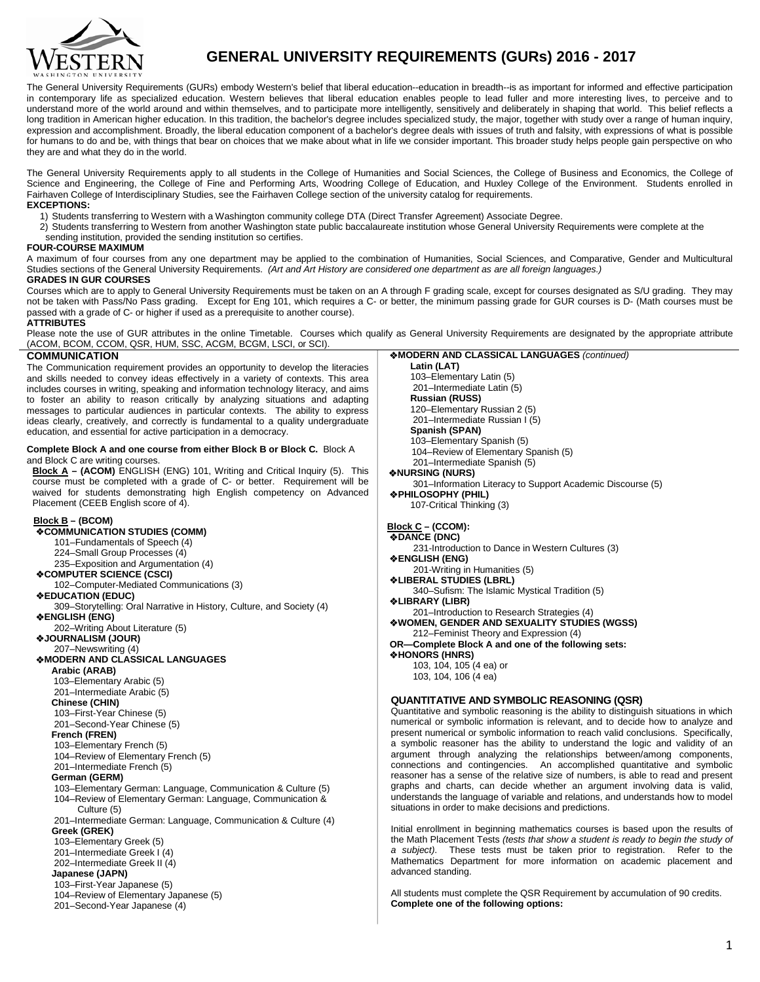

# **GENERAL UNIVERSITY REQUIREMENTS (GURs) 2016 - 2017**

The General University Requirements (GURs) embody Western's belief that liberal education--education in breadth--is as important for informed and effective participation in contemporary life as specialized education. Western believes that liberal education enables people to lead fuller and more interesting lives, to perceive and to understand more of the world around and within themselves, and to participate more intelligently, sensitively and deliberately in shaping that world. This belief reflects a long tradition in American higher education. In this tradition, the bachelor's degree includes specialized study, the major, together with study over a range of human inquiry, expression and accomplishment. Broadly, the liberal education component of a bachelor's degree deals with issues of truth and falsity, with expressions of what is possible for humans to do and be, with things that bear on choices that we make about what in life we consider important. This broader study helps people gain perspective on who they are and what they do in the world.

The General University Requirements apply to all students in the College of Humanities and Social Sciences, the College of Business and Economics, the College of Science and Engineering, the College of Fine and Performing Arts, Woodring College of Education, and Huxley College of the Environment. Students enrolled in Fairhaven College of Interdisciplinary Studies, see the Fairhaven College section of the university catalog for requirements. **EXCEPTIONS:**

1) Students transferring to Western with a Washington community college DTA (Direct Transfer Agreement) Associate Degree.

- 2) Students transferring to Western from another Washington state public baccalaureate institution whose General University Requirements were complete at the
- sending institution, provided the sending institution so certifies.

# **FOUR-COURSE MAXIMUM**

A maximum of four courses from any one department may be applied to the combination of Humanities, Social Sciences, and Comparative, Gender and Multicultural Studies sections of the General University Requirements. *(Art and Art History are considered one department as are all foreign languages.)*

# **GRADES IN GUR COURSES**

Courses which are to apply to General University Requirements must be taken on an A through F grading scale, except for courses designated as S/U grading. They may not be taken with Pass/No Pass grading. Except for Eng 101, which requires a C- or better, the minimum passing grade for GUR courses is D- (Math courses must be passed with a grade of C- or higher if used as a prerequisite to another course).

**ATTRIBUTES**

Please note the use of GUR attributes in the online Timetable. Courses which qualify as General University Requirements are designated by the appropriate attribute (ACOM, BCOM, CCOM, QSR, HUM, SSC, ACGM, BCGM, LSCI, or SCI).

#### **COMMUNICATION**

The Communication requirement provides an opportunity to develop the literacies and skills needed to convey ideas effectively in a variety of contexts. This area includes courses in writing, speaking and information technology literacy, and aims to foster an ability to reason critically by analyzing situations and adapting messages to particular audiences in particular contexts. The ability to express ideas clearly, creatively, and correctly is fundamental to a quality undergraduate education, and essential for active participation in a democracy.

# **Complete Block A and one course from either Block B or Block C.** Block A and Block C are writing courses.

**Block A – (ACOM)** ENGLISH (ENG) 101, Writing and Critical Inquiry (5). This course must be completed with a grade of C- or better. Requirement will be waived for students demonstrating high English competency on Advanced Placement (CEEB English score of 4).

# **Block B – (BCOM)**

 **COMMUNICATION STUDIES (COMM)**

- 101–Fundamentals of Speech (4)
- 224–Small Group Processes (4)
- 235–Exposition and Argumentation (4)
- **COMPUTER SCIENCE (CSCI)**

102–Computer-Mediated Communications (3)

# **EDUCATION (EDUC)**

 309–Storytelling: Oral Narrative in History, Culture, and Society (4) **ENGLISH (ENG)** 

202–Writing About Literature (5)

# **JOURNALISM (JOUR)**  207–Newswriting (4)

# **MODERN AND CLASSICAL LANGUAGES**

**Arabic (ARAB)**

103–Elementary Arabic (5)

- 201–Intermediate Arabic (5)
- **Chinese (CHIN)**
- 103–First-Year Chinese (5)

201–Second-Year Chinese (5)

- **French (FREN)**
- 103–Elementary French (5) 104–Review of Elementary French (5)
- 201–Intermediate French (5)

- **German (GERM)**
- 103–Elementary German: Language, Communication & Culture (5) 104–Review of Elementary German: Language, Communication & Culture (5)

 201–Intermediate German: Language, Communication & Culture (4) **Greek (GREK)**

103–Elementary Greek (5)

- 201–Intermediate Greek I (4)
- 202–Intermediate Greek II (4)

# **Japanese (JAPN)**

- 103–First-Year Japanese (5)
- 104–Review of Elementary Japanese (5)
- 201–Second-Year Japanese (4)

 **Latin (LAT)** 103–Elementary Latin (5) 201–Intermediate Latin (5) **Russian (RUSS)** 120–Elementary Russian 2 (5) 201–Intermediate Russian I (5) **Spanish (SPAN)** 103–Elementary Spanish (5) 104–Review of Elementary Spanish (5) 201–Intermediate Spanish (5) **NURSING (NURS)** 301–Information Literacy to Support Academic Discourse (5) **PHILOSOPHY (PHIL)**  107-Critical Thinking (3) **Block C – (CCOM): DANCE (DNC)** 231-Introduction to Dance in Western Cultures (3) **ENGLISH (ENG)** 201-Writing in Humanities (5) **LIBERAL STUDIES (LBRL)** 340–Sufism: The Islamic Mystical Tradition (5) **LIBRARY (LIBR)** 201–Introduction to Research Strategies (4) **WOMEN, GENDER AND SEXUALITY STUDIES (WGSS)** 212–Feminist Theory and Expression (4)  **OR—Complete Block A and one of the following sets: HONORS (HNRS)**  103, 104, 105 (4 ea) or 103, 104, 106 (4 ea)

**MODERN AND CLASSICAL LANGUAGES** *(continued)*

# **QUANTITATIVE AND SYMBOLIC REASONING (QSR)**

Quantitative and symbolic reasoning is the ability to distinguish situations in which numerical or symbolic information is relevant, and to decide how to analyze and present numerical or symbolic information to reach valid conclusions. Specifically, a symbolic reasoner has the ability to understand the logic and validity of an argument through analyzing the relationships between/among components, connections and contingencies. An accomplished quantitative and symbolic reasoner has a sense of the relative size of numbers, is able to read and present graphs and charts, can decide whether an argument involving data is valid, understands the language of variable and relations, and understands how to model situations in order to make decisions and predictions.

Initial enrollment in beginning mathematics courses is based upon the results of the Math Placement Tests *(tests that show a student is ready to begin the study of a subject)*. These tests must be taken prior to registration. Refer to the Mathematics Department for more information on academic placement and advanced standing.

All students must complete the QSR Requirement by accumulation of 90 credits. **Complete one of the following options:**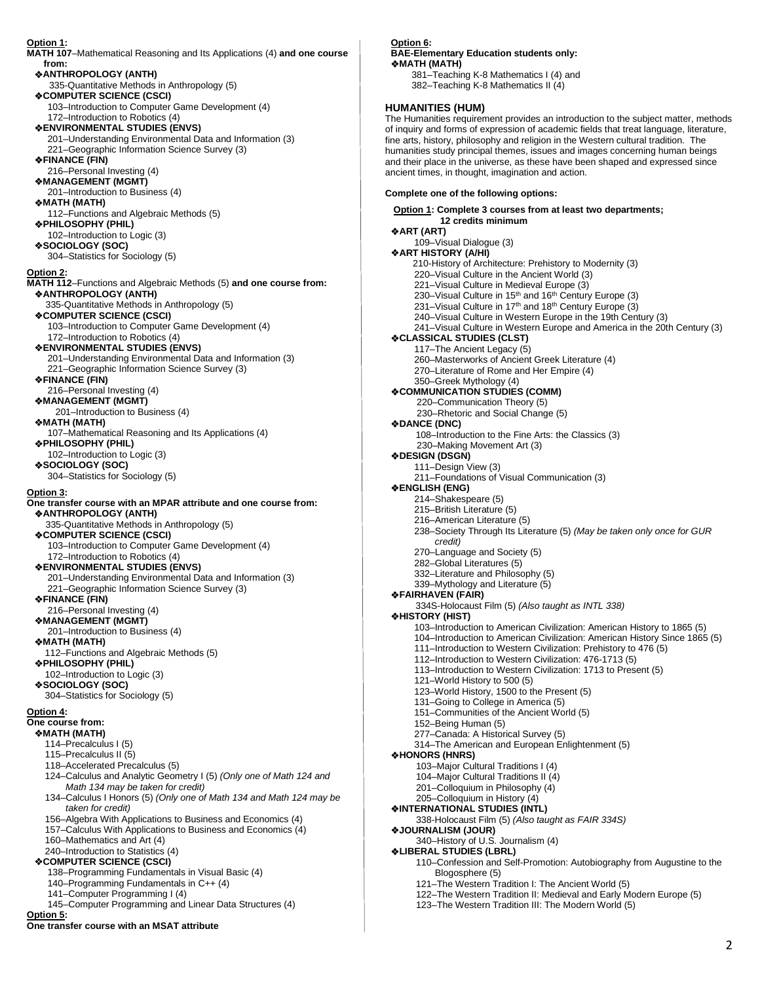#### **Option 1: MATH 107**–Mathematical Reasoning and Its Applications (4) **and one course from: ANTHROPOLOGY (ANTH)** 335-Quantitative Methods in Anthropology (5) **COMPUTER SCIENCE (CSCI)**  103–Introduction to Computer Game Development (4) 172–Introduction to Robotics (4) **ENVIRONMENTAL STUDIES (ENVS)**  201–Understanding Environmental Data and Information (3) 221–Geographic Information Science Survey (3) **FINANCE (FIN)**  216–Personal Investing (4)  **MANAGEMENT (MGMT)**  201–Introduction to Business (4) **MATH (MATH)** 112–Functions and Algebraic Methods (5) **PHILOSOPHY (PHIL)**  102–Introduction to Logic (3) **SOCIOLOGY (SOC)** 304–Statistics for Sociology (5) **Option 2: MATH 112**–Functions and Algebraic Methods (5) **and one course from: ANTHROPOLOGY (ANTH)** 335-Quantitative Methods in Anthropology (5) **COMPUTER SCIENCE (CSCI)**  103–Introduction to Computer Game Development (4) 172–Introduction to Robotics (4) **ENVIRONMENTAL STUDIES (ENVS)**  201–Understanding Environmental Data and Information (3) 221–Geographic Information Science Survey (3)  **FINANCE (FIN)**  216–Personal Investing (4) **MANAGEMENT (MGMT)**  201–Introduction to Business (4) **MATH (MATH)** 107–Mathematical Reasoning and Its Applications (4) **PHILOSOPHY (PHIL)**  102–Introduction to Logic (3) **SOCIOLOGY (SOC)** 304–Statistics for Sociology (5) **Option 3: One transfer course with an MPAR attribute and one course from: ANTHROPOLOGY (ANTH)** 335-Quantitative Methods in Anthropology (5) **COMPUTER SCIENCE (CSCI)**  103–Introduction to Computer Game Development (4) 172–Introduction to Robotics (4) **ENVIRONMENTAL STUDIES (ENVS)**  201–Understanding Environmental Data and Information (3) 221–Geographic Information Science Survey (3) **FINANCE (FIN)**  216–Personal Investing (4) **MANAGEMENT (MGMT)**  201–Introduction to Business (4)  **MATH (MATH)**  112–Functions and Algebraic Methods (5) **PHILOSOPHY (PHIL)**  102–Introduction to Logic (3) **SOCIOLOGY (SOC)** 304–Statistics for Sociology (5) **Option 4: One course from: MATH (MATH)**  114–Precalculus I (5) 115–Precalculus II (5) 118–Accelerated Precalculus (5) 124–Calculus and Analytic Geometry I (5) *(Only one of Math 124 and Math 134 may be taken for credit)*  134–Calculus I Honors (5) *(Only one of Math 134 and Math 124 may be taken for credit)* 156–Algebra With Applications to Business and Economics (4) 157–Calculus With Applications to Business and Economics (4) 160–Mathematics and Art (4) 240–Introduction to Statistics (4)  **COMPUTER SCIENCE (CSCI)**  138–Programming Fundamentals in Visual Basic (4) 140–Programming Fundamentals in C++ (4) 141–Computer Programming I (4) 145–Computer Programming and Linear Data Structures (4) **Option 5: One transfer course with an MSAT attribute**

#### **Option 6: BAE-Elementary Education students only: MATH (MATH)**

 381–Teaching K-8 Mathematics I (4) and 382–Teaching K-8 Mathematics II (4)

# **HUMANITIES (HUM)**

The Humanities requirement provides an introduction to the subject matter, methods of inquiry and forms of expression of academic fields that treat language, literature, fine arts, history, philosophy and religion in the Western cultural tradition. The humanities study principal themes, issues and images concerning human beings and their place in the universe, as these have been shaped and expressed since ancient times, in thought, imagination and action.

# **Complete one of the following options:**

**Option 1: Complete 3 courses from at least two departments; 12 credits minimum ART (ART)** 109–Visual Dialogue (3) **ART HISTORY (A/HI)**  210-History of Architecture: Prehistory to Modernity (3) 220–Visual Culture in the Ancient World (3) 221–Visual Culture in Medieval Europe (3) 230–Visual Culture in 15<sup>th</sup> and 16<sup>th</sup> Century Europe (3) 231–Visual Culture in 17<sup>th</sup> and 18<sup>th</sup> Century Europe (3) 240–Visual Culture in Western Europe in the 19th Century (3) 241–Visual Culture in Western Europe and America in the 20th Century (3) **CLASSICAL STUDIES (CLST)** 117–The Ancient Legacy (5) 260–Masterworks of Ancient Greek Literature (4) 270–Literature of Rome and Her Empire (4) 350–Greek Mythology (4) **COMMUNICATION STUDIES (COMM)** 220–Communication Theory (5) 230–Rhetoric and Social Change (5) **DANCE (DNC)** 108–Introduction to the Fine Arts: the Classics (3) 230–Making Movement Art (3) **DESIGN (DSGN)** 111–Design View (3) 211–Foundations of Visual Communication (3) **ENGLISH (ENG)**  214–Shakespeare (5) 215–British Literature (5) 216–American Literature (5) 238–Society Through Its Literature (5) *(May be taken only once for GUR credit)*  270–Language and Society (5) 282–Global Literatures (5) 332–Literature and Philosophy (5) 339–Mythology and Literature (5) **FAIRHAVEN (FAIR)** 334S-Holocaust Film (5) *(Also taught as INTL 338)* **HISTORY (HIST)**  103–Introduction to American Civilization: American History to 1865 (5) 104–Introduction to American Civilization: American History Since 1865 (5) 111–Introduction to Western Civilization: Prehistory to 476 (5) 112–Introduction to Western Civilization: 476-1713 (5) 113–Introduction to Western Civilization: 1713 to Present (5) 121–World History to 500 (5) 123–World History, 1500 to the Present (5) 131–Going to College in America (5) 151–Communities of the Ancient World (5) 152–Being Human (5) 277–Canada: A Historical Survey (5) 314–The American and European Enlightenment (5) **HONORS (HNRS)** 103–Major Cultural Traditions I (4) 104–Major Cultural Traditions II (4) 201–Colloquium in Philosophy (4) 205–Colloquium in History (4) **INTERNATIONAL STUDIES (INTL)**  338-Holocaust Film (5) *(Also taught as FAIR 334S)* **JOURNALISM (JOUR)**  340–History of U.S. Journalism (4) **LIBERAL STUDIES (LBRL)** 110–Confession and Self-Promotion: Autobiography from Augustine to the Blogosphere (5) 121–The Western Tradition I: The Ancient World (5) 122–The Western Tradition II: Medieval and Early Modern Europe (5) 123–The Western Tradition III: The Modern World (5)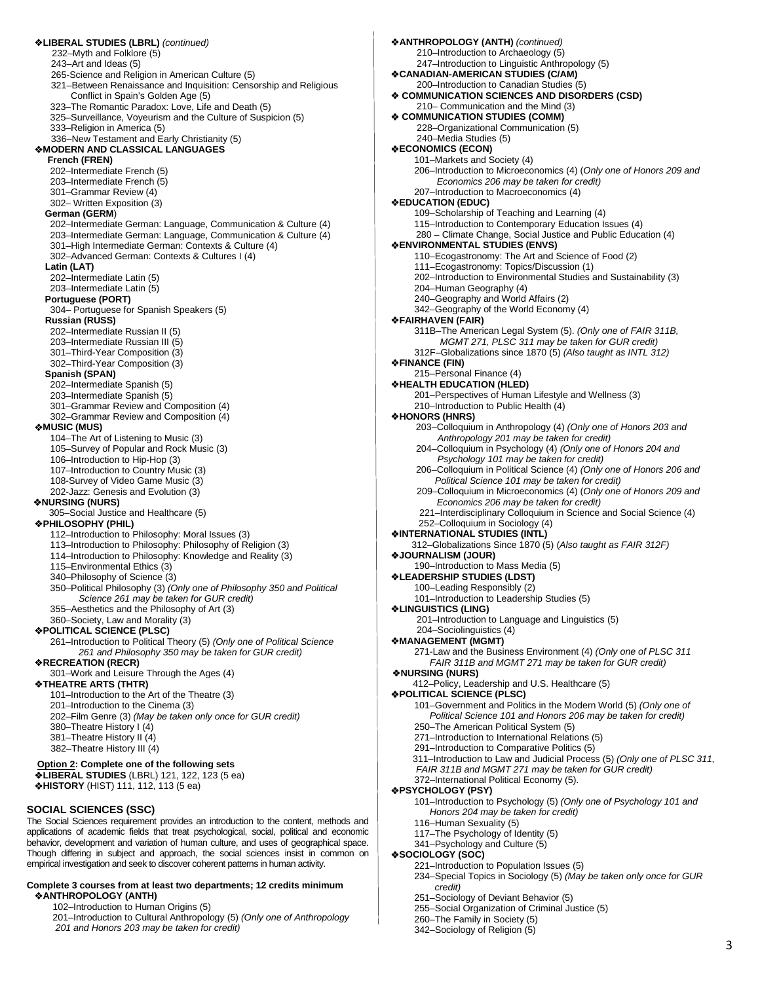**LIBERAL STUDIES (LBRL)** *(continued)* 232–Myth and Folklore (5) 243–Art and Ideas (5) 265-Science and Religion in American Culture (5) 321–Between Renaissance and Inquisition: Censorship and Religious Conflict in Spain's Golden Age (5) 323–The Romantic Paradox: Love, Life and Death (5) 325–Surveillance, Voyeurism and the Culture of Suspicion (5) 333–Religion in America (5) 336–New Testament and Early Christianity (5) **MODERN AND CLASSICAL LANGUAGES French (FREN)**  202–Intermediate French (5) 203–Intermediate French (5) 301–Grammar Review (4) 302– Written Exposition (3)  **German (GERM**) 202–Intermediate German: Language, Communication & Culture (4) 203–Intermediate German: Language, Communication & Culture (4) 301–High Intermediate German: Contexts & Culture (4) 302–Advanced German: Contexts & Cultures I (4) **Latin (LAT)** 202–Intermediate Latin (5) 203–Intermediate Latin (5) **Portuguese (PORT)** 304– Portuguese for Spanish Speakers (5) **Russian (RUSS)** 202–Intermediate Russian II (5) 203–Intermediate Russian III (5) 301–Third-Year Composition (3) 302–Third-Year Composition (3) **Spanish (SPAN)** 202–Intermediate Spanish (5) 203–Intermediate Spanish (5) 301–Grammar Review and Composition (4) 302–Grammar Review and Composition (4)  **MUSIC (MUS)**  104–The Art of Listening to Music (3) 105–Survey of Popular and Rock Music (3) 106–Introduction to Hip-Hop (3) 107–Introduction to Country Music (3) 108-Survey of Video Game Music (3) 202-Jazz: Genesis and Evolution (3) **NURSING (NURS)** 305–Social Justice and Healthcare (5)  **PHILOSOPHY (PHIL)** 112–Introduction to Philosophy: Moral Issues (3) 113–Introduction to Philosophy: Philosophy of Religion (3) 114–Introduction to Philosophy: Knowledge and Reality (3) 115–Environmental Ethics (3) 340–Philosophy of Science (3) 350–Political Philosophy (3) *(Only one of Philosophy 350 and Political Science 261 may be taken for GUR credit)* 355–Aesthetics and the Philosophy of Art (3) 360–Society, Law and Morality (3) **POLITICAL SCIENCE (PLSC)**  261–Introduction to Political Theory (5) *(Only one of Political Science 261 and Philosophy 350 may be taken for GUR credit)*   **RECREATION (RECR)**  301–Work and Leisure Through the Ages (4) **THEATRE ARTS (THTR)** 101–Introduction to the Art of the Theatre (3) 201–Introduction to the Cinema (3) 202–Film Genre (3) *(May be taken only once for GUR credit)* 380–Theatre History I (4) 381–Theatre History II (4) 382–Theatre History III (4)  **Option 2: Complete one of the following sets LIBERAL STUDIES** (LBRL) 121, 122, 123 (5 ea) **MISTORY** (HIST) 111, 112, 113 (5 ea) **SOCIAL SCIENCES (SSC)** The Social Sciences requirement provides an introduction to the content, methods and applications of academic fields that treat psychological, social, political and economic behavior, development and variation of human culture, and uses of geographical space. Though differing in subject and approach, the social sciences insist in common on empirical investigation and seek to discover coherent patterns in human activity.

#### **Complete 3 courses from at least two departments; 12 credits minimum ANTHROPOLOGY (ANTH)**

102–Introduction to Human Origins (5)

 201–Introduction to Cultural Anthropology (5) *(Only one of Anthropology 201 and Honors 203 may be taken for credit)* 

**ANTHROPOLOGY (ANTH)** *(continued)* 210–Introduction to Archaeology (5) 247–Introduction to Linguistic Anthropology (5) **CANADIAN-AMERICAN STUDIES (C/AM)** 200–Introduction to Canadian Studies (5) **COMMUNICATION SCIENCES AND DISORDERS (CSD)** 210– Communication and the Mind (3) **COMMUNICATION STUDIES (COMM)** 228–Organizational Communication (5) 240–Media Studies (5) **ECONOMICS (ECON)** 101–Markets and Society (4) 206–Introduction to Microeconomics (4) (*Only one of Honors 209 and Economics 206 may be taken for credit)* 207–Introduction to Macroeconomics (4) **EDUCATION (EDUC)**  109–Scholarship of Teaching and Learning (4) 115–Introduction to Contemporary Education Issues (4) 280 – Climate Change, Social Justice and Public Education (4) **ENVIRONMENTAL STUDIES (ENVS)** 110–Ecogastronomy: The Art and Science of Food (2) 111–Ecogastronomy: Topics/Discussion (1) 202–Introduction to Environmental Studies and Sustainability (3) 204–Human Geography (4) 240–Geography and World Affairs (2) 342–Geography of the World Economy (4) **FAIRHAVEN (FAIR)** 311B–The American Legal System (5). *(Only one of FAIR 311B, MGMT 271, PLSC 311 may be taken for GUR credit)* 312F–Globalizations since 1870 (5) *(Also taught as INTL 312)*  **FINANCE (FIN)** 215–Personal Finance (4) **HEALTH EDUCATION (HLED)** 201–Perspectives of Human Lifestyle and Wellness (3) 210–Introduction to Public Health (4) **HONORS (HNRS)** 203–Colloquium in Anthropology (4) *(Only one of Honors 203 and Anthropology 201 may be taken for credit)* 204–Colloquium in Psychology (4) *(Only one of Honors 204 and Psychology 101 may be taken for credit)* 206–Colloquium in Political Science (4) *(Only one of Honors 206 and Political Science 101 may be taken for credit)* 209–Colloquium in Microeconomics (4) (*Only one of Honors 209 and Economics 206 may be taken for credit)* 221–Interdisciplinary Colloquium in Science and Social Science (4) 252–Colloquium in Sociology (4) **INTERNATIONAL STUDIES (INTL)**  312–Globalizations Since 1870 (5) (*Also taught as FAIR 312F)*  **JOURNALISM (JOUR)**  190–Introduction to Mass Media (5) **LEADERSHIP STUDIES (LDST)** 100–Leading Responsibly (2) 101–Introduction to Leadership Studies (5) **LINGUISTICS (LING)**  201–Introduction to Language and Linguistics (5) 204–Sociolinguistics (4) **MANAGEMENT (MGMT)** 271-Law and the Business Environment (4) *(Only one of PLSC 311 FAIR 311B and MGMT 271 may be taken for GUR credit)* **NURSING (NURS)** 412–Policy, Leadership and U.S. Healthcare (5) **POLITICAL SCIENCE (PLSC)**  101–Government and Politics in the Modern World (5) *(Only one of Political Science 101 and Honors 206 may be taken for credit)* 250–The American Political System (5) 271–Introduction to International Relations (5) 291–Introduction to Comparative Politics (5) 311–Introduction to Law and Judicial Process (5) *(Only one of PLSC 311, FAIR 311B and MGMT 271 may be taken for GUR credit)* 372–International Political Economy (5). **PSYCHOLOGY (PSY)** 101–Introduction to Psychology (5) *(Only one of Psychology 101 and Honors 204 may be taken for credit)* 116–Human Sexuality (5) 117–The Psychology of Identity (5) 341–Psychology and Culture (5) **SOCIOLOGY (SOC)**  221–Introduction to Population Issues (5) 234–Special Topics in Sociology (5) *(May be taken only once for GUR credit)*  251–Sociology of Deviant Behavior (5) 255–Social Organization of Criminal Justice (5) 260–The Family in Society (5) 342–Sociology of Religion (5)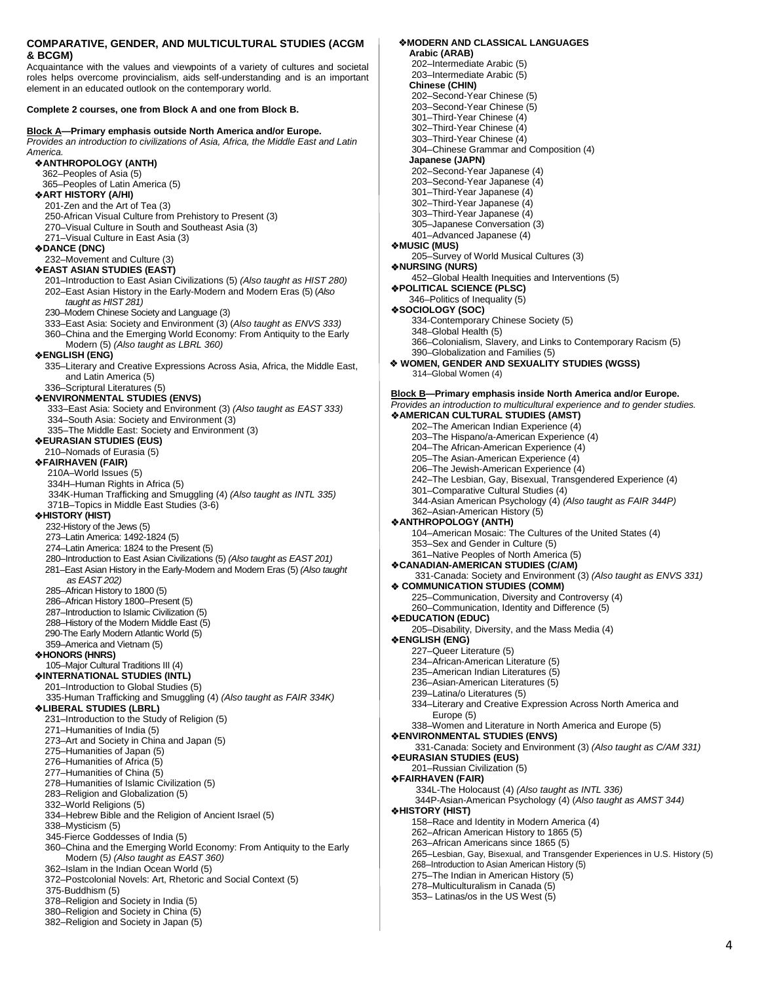# **COMPARATIVE, GENDER, AND MULTICULTURAL STUDIES (ACGM & BCGM)**

Acquaintance with the values and viewpoints of a variety of cultures and societal roles helps overcome provincialism, aids self-understanding and is an important element in an educated outlook on the contemporary world.

**Complete 2 courses, one from Block A and one from Block B.**

#### **Block A—Primary emphasis outside North America and/or Europe.** *Provides an introduction to civilizations of Asia, Africa, the Middle East and Latin America.*   **ANTHROPOLOGY (ANTH)**  362–Peoples of Asia (5) 365–Peoples of Latin America (5)  **ART HISTORY (A/HI)** 201-Zen and the Art of Tea (3) 250-African Visual Culture from Prehistory to Present (3) 270–Visual Culture in South and Southeast Asia (3) 271–Visual Culture in East Asia (3)  **DANCE (DNC)**  232–Movement and Culture (3)  **EAST ASIAN STUDIES (EAST)**  201–Introduction to East Asian Civilizations (5) *(Also taught as HIST 280)* 202–East Asian History in the Early-Modern and Modern Eras (5) (*Also taught as HIST 281)*  230–Modern Chinese Society and Language (3) 333–East Asia: Society and Environment (3) (*Also taught as ENVS 333)* 360–China and the Emerging World Economy: From Antiquity to the Early Modern (5) *(Also taught as LBRL 360)*  **ENGLISH (ENG)** 335–Literary and Creative Expressions Across Asia, Africa, the Middle East, and Latin America (5) 336–Scriptural Literatures (5)  **ENVIRONMENTAL STUDIES (ENVS)** 333–East Asia: Society and Environment (3) *(Also taught as EAST 333)* 334–South Asia: Society and Environment (3) 335–The Middle East: Society and Environment (3)  **EURASIAN STUDIES (EUS)** 210–Nomads of Eurasia (5)  **FAIRHAVEN (FAIR)** 210A–World Issues (5) 334H–Human Rights in Africa (5) 334K-Human Trafficking and Smuggling (4) *(Also taught as INTL 335)* 371B–Topics in Middle East Studies (3-6)  **HISTORY (HIST)**  232-History of the Jews (5) 273–Latin America: 1492-1824 (5) 274–Latin America: 1824 to the Present (5) 280–Introduction to East Asian Civilizations (5) *(Also taught as EAST 201)* 281–East Asian History in the Early-Modern and Modern Eras (5) *(Also taught as EAST 202)* 285–African History to 1800 (5) 286–African History 1800–Present (5) 287–Introduction to Islamic Civilization (5) 288–History of the Modern Middle East (5) 290-The Early Modern Atlantic World (5) 359–America and Vietnam (5)  **HONORS (HNRS)** 105–Major Cultural Traditions III (4)  **INTERNATIONAL STUDIES (INTL)**  201–Introduction to Global Studies (5) 335-Human Trafficking and Smuggling (4) *(Also taught as FAIR 334K)*  **LIBERAL STUDIES (LBRL)** 231–Introduction to the Study of Religion (5) 271–Humanities of India (5) 273–Art and Society in China and Japan (5) 275–Humanities of Japan (5) 276–Humanities of Africa (5) 277–Humanities of China (5) 278–Humanities of Islamic Civilization (5) 283–Religion and Globalization (5) 332–World Religions (5) 334–Hebrew Bible and the Religion of Ancient Israel (5) 338–Mysticism (5) 345-Fierce Goddesses of India (5) 360–China and the Emerging World Economy: From Antiquity to the Early Modern (5*) (Also taught as EAST 360)* 362–Islam in the Indian Ocean World (5) 372–Postcolonial Novels: Art, Rhetoric and Social Context (5) 375-Buddhism (5) 378–Religion and Society in India (5) 380–Religion and Society in China (5)

382–Religion and Society in Japan (5)

 **MODERN AND CLASSICAL LANGUAGES Arabic (ARAB)**  202–Intermediate Arabic (5) 203–Intermediate Arabic (5) **Chinese (CHIN)**  202–Second-Year Chinese (5) 203–Second-Year Chinese (5) 301–Third-Year Chinese (4) 302–Third-Year Chinese (4) 303–Third-Year Chinese (4) 304–Chinese Grammar and Composition (4)  **Japanese (JAPN)**  202–Second-Year Japanese (4) 203–Second-Year Japanese (4) 301–Third-Year Japanese (4) 302–Third-Year Japanese (4) 303–Third-Year Japanese (4) 305–Japanese Conversation (3) 401–Advanced Japanese (4) **MUSIC (MUS)** 205–Survey of World Musical Cultures (3) **NURSING (NURS)** 452–Global Health Inequities and Interventions (5) **POLITICAL SCIENCE (PLSC)** 346–Politics of Inequality (5) **SOCIOLOGY (SOC)**  334-Contemporary Chinese Society (5) 348–Global Health (5) 366–Colonialism, Slavery, and Links to Contemporary Racism (5) 390–Globalization and Families (5)  **WOMEN, GENDER AND SEXUALITY STUDIES (WGSS)**  314–Global Women (4) **Block B—Primary emphasis inside North America and/or Europe.** *Provides an introduction to multicultural experience and to gender studies.* **AMERICAN CULTURAL STUDIES (AMST)**  202–The American Indian Experience (4) 203–The Hispano/a-American Experience (4) 204–The African-American Experience (4) 205–The Asian-American Experience (4) 206–The Jewish-American Experience (4) 242–The Lesbian, Gay, Bisexual, Transgendered Experience (4) 301–Comparative Cultural Studies (4) 344-Asian American Psychology (4) *(Also taught as FAIR 344P)* 362–Asian-American History (5) **ANTHROPOLOGY (ANTH)**  104–American Mosaic: The Cultures of the United States (4) 353–Sex and Gender in Culture (5) 361–Native Peoples of North America (5) **CANADIAN-AMERICAN STUDIES (C/AM)** 331-Canada: Society and Environment (3) *(Also taught as ENVS 331)* **COMMUNICATION STUDIES (COMM)** 225–Communication, Diversity and Controversy (4) 260–Communication, Identity and Difference (5) **EDUCATION (EDUC)**  205–Disability, Diversity, and the Mass Media (4) **ENGLISH (ENG)**  227–Queer Literature (5) 234–African-American Literature (5) 235–American Indian Literatures (5) 236–Asian-American Literatures (5) 239–Latina/o Literatures (5) 334–Literary and Creative Expression Across North America and Europe (5) 338–Women and Literature in North America and Europe (5) **ENVIRONMENTAL STUDIES (ENVS)** 331-Canada: Society and Environment (3) *(Also taught as C/AM 331)* **EURASIAN STUDIES (EUS)**  201–Russian Civilization (5) **FAIRHAVEN (FAIR)** 334L-The Holocaust (4) *(Also taught as INTL 336)* 344P-Asian-American Psychology (4) (*Also taught as AMST 344)* **HISTORY (HIST)**  158–Race and Identity in Modern America (4) 262–African American History to 1865 (5) 263–African Americans since 1865 (5) 265–Lesbian, Gay, Bisexual, and Transgender Experiences in U.S. History (5) 268–Introduction to Asian American History (5) 275–The Indian in American History (5) 278–Multiculturalism in Canada (5) 353– Latinas/os in the US West (5)